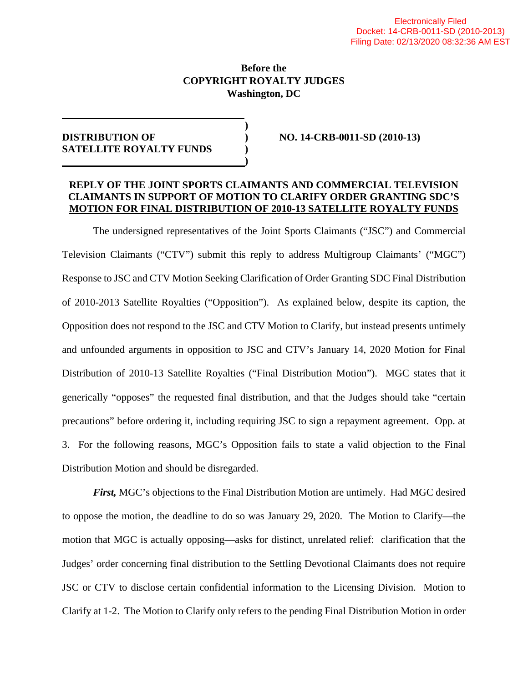### **Before the COPYRIGHT ROYALTY JUDGES Washington, DC**

**)** 

**)** 

## **DISTRIBUTION OF ) NO. 14-CRB-0011-SD (2010-13) SATELLITE ROYALTY FUNDS )**

#### **REPLY OF THE JOINT SPORTS CLAIMANTS AND COMMERCIAL TELEVISION CLAIMANTS IN SUPPORT OF MOTION TO CLARIFY ORDER GRANTING SDC'S MOTION FOR FINAL DISTRIBUTION OF 2010-13 SATELLITE ROYALTY FUNDS**

The undersigned representatives of the Joint Sports Claimants ("JSC") and Commercial Television Claimants ("CTV") submit this reply to address Multigroup Claimants' ("MGC") Response to JSC and CTV Motion Seeking Clarification of Order Granting SDC Final Distribution of 2010-2013 Satellite Royalties ("Opposition"). As explained below, despite its caption, the Opposition does not respond to the JSC and CTV Motion to Clarify, but instead presents untimely and unfounded arguments in opposition to JSC and CTV's January 14, 2020 Motion for Final Distribution of 2010-13 Satellite Royalties ("Final Distribution Motion"). MGC states that it generically "opposes" the requested final distribution, and that the Judges should take "certain precautions" before ordering it, including requiring JSC to sign a repayment agreement. Opp. at 3. For the following reasons, MGC's Opposition fails to state a valid objection to the Final Distribution Motion and should be disregarded.

*First,* MGC's objections to the Final Distribution Motion are untimely. Had MGC desired to oppose the motion, the deadline to do so was January 29, 2020. The Motion to Clarify—the motion that MGC is actually opposing—asks for distinct, unrelated relief: clarification that the Judges' order concerning final distribution to the Settling Devotional Claimants does not require JSC or CTV to disclose certain confidential information to the Licensing Division. Motion to Clarify at 1-2. The Motion to Clarify only refers to the pending Final Distribution Motion in order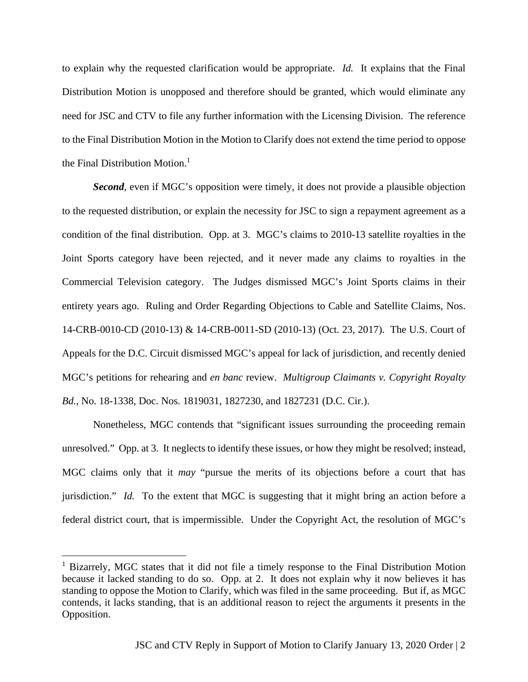to explain why the requested clarification would be appropriate. *Id.* It explains that the Final Distribution Motion is unopposed and therefore should be granted, which would eliminate any need for JSC and CTV to file any further information with the Licensing Division. The reference to the Final Distribution Motion in the Motion to Clarify does not extend the time period to oppose the Final Distribution Motion.<sup>[1](#page-1-0)</sup>

*Second*, even if MGC's opposition were timely, it does not provide a plausible objection to the requested distribution, or explain the necessity for JSC to sign a repayment agreement as a condition of the final distribution. Opp. at 3. MGC's claims to 2010-13 satellite royalties in the Joint Sports category have been rejected, and it never made any claims to royalties in the Commercial Television category. The Judges dismissed MGC's Joint Sports claims in their entirety years ago. Ruling and Order Regarding Objections to Cable and Satellite Claims, Nos. 14-CRB-0010-CD (2010-13) & 14-CRB-0011-SD (2010-13) (Oct. 23, 2017). The U.S. Court of Appeals for the D.C. Circuit dismissed MGC's appeal for lack of jurisdiction, and recently denied MGC's petitions for rehearing and *en banc* review. *Multigroup Claimants v. Copyright Royalty Bd.*, No. 18-1338, Doc. Nos. 1819031, 1827230, and 1827231 (D.C. Cir.).

Nonetheless, MGC contends that "significant issues surrounding the proceeding remain unresolved." Opp. at 3. It neglects to identify these issues, or how they might be resolved; instead, MGC claims only that it *may* "pursue the merits of its objections before a court that has jurisdiction." *Id.* To the extent that MGC is suggesting that it might bring an action before a federal district court, that is impermissible. Under the Copyright Act, the resolution of MGC's

<span id="page-1-0"></span><sup>&</sup>lt;sup>1</sup> Bizarrely, MGC states that it did not file a timely response to the Final Distribution Motion because it lacked standing to do so. Opp. at 2. It does not explain why it now believes it has standing to oppose the Motion to Clarify, which was filed in the same proceeding. But if, as MGC contends, it lacks standing, that is an additional reason to reject the arguments it presents in the Opposition.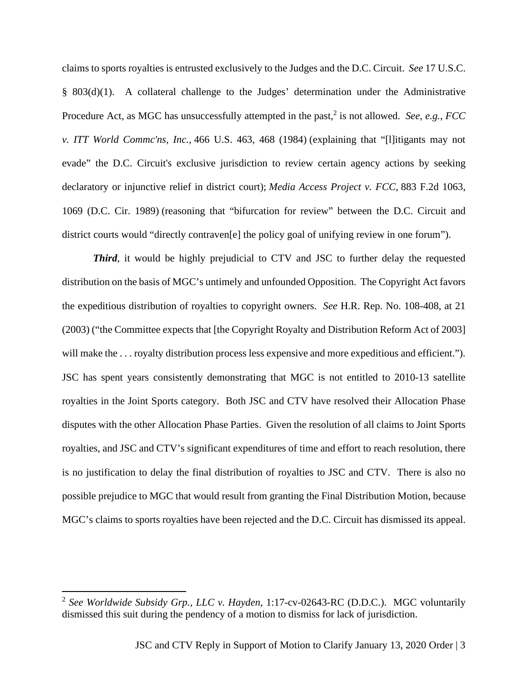claims to sports royalties is entrusted exclusively to the Judges and the D.C. Circuit. *See* 17 U.S.C. § 803(d)(1). A collateral challenge to the Judges' determination under the Administrative Procedure Act, as MGC has unsuccessfully attempted in the past,<sup>[2](#page-2-0)</sup> is not allowed. *See, e.g., FCC v. ITT World Commc'ns, Inc.,* 466 U.S. 463, 468 (1984) (explaining that "[l]itigants may not evade" the D.C. Circuit's exclusive jurisdiction to review certain agency actions by seeking declaratory or injunctive relief in district court); *Media Access Project v. FCC,* 883 F.2d 1063, 1069 (D.C. Cir. 1989) (reasoning that "bifurcation for review" between the D.C. Circuit and district courts would "directly contraven[e] the policy goal of unifying review in one forum").

*Third*, it would be highly prejudicial to CTV and JSC to further delay the requested distribution on the basis of MGC's untimely and unfounded Opposition. The Copyright Act favors the expeditious distribution of royalties to copyright owners. *See* H.R. Rep. No. 108-408, at 21 (2003) ("the Committee expects that [the Copyright Royalty and Distribution Reform Act of 2003] will make the ... royalty distribution process less expensive and more expeditious and efficient."). JSC has spent years consistently demonstrating that MGC is not entitled to 2010-13 satellite royalties in the Joint Sports category. Both JSC and CTV have resolved their Allocation Phase disputes with the other Allocation Phase Parties. Given the resolution of all claims to Joint Sports royalties, and JSC and CTV's significant expenditures of time and effort to reach resolution, there is no justification to delay the final distribution of royalties to JSC and CTV. There is also no possible prejudice to MGC that would result from granting the Final Distribution Motion, because MGC's claims to sports royalties have been rejected and the D.C. Circuit has dismissed its appeal.

<span id="page-2-0"></span><sup>2</sup> *See Worldwide Subsidy Grp., LLC v. Hayden*, 1:17-cv-02643-RC (D.D.C.). MGC voluntarily dismissed this suit during the pendency of a motion to dismiss for lack of jurisdiction.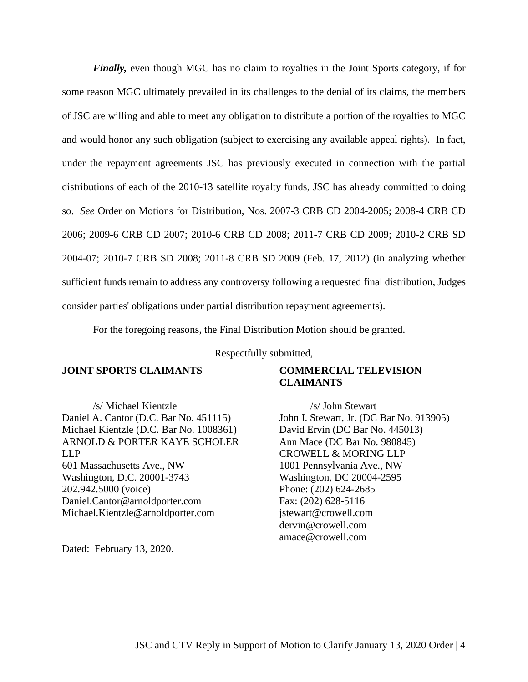*Finally*, even though MGC has no claim to royalties in the Joint Sports category, if for some reason MGC ultimately prevailed in its challenges to the denial of its claims, the members of JSC are willing and able to meet any obligation to distribute a portion of the royalties to MGC and would honor any such obligation (subject to exercising any available appeal rights). In fact, under the repayment agreements JSC has previously executed in connection with the partial distributions of each of the 2010-13 satellite royalty funds, JSC has already committed to doing so. *See* Order on Motions for Distribution, Nos. 2007-3 CRB CD 2004-2005; 2008-4 CRB CD 2006; 2009-6 CRB CD 2007; 2010-6 CRB CD 2008; 2011-7 CRB CD 2009; 2010-2 CRB SD 2004-07; 2010-7 CRB SD 2008; 2011-8 CRB SD 2009 (Feb. 17, 2012) (in analyzing whether sufficient funds remain to address any controversy following a requested final distribution, Judges consider parties' obligations under partial distribution repayment agreements).

For the foregoing reasons, the Final Distribution Motion should be granted.

Respectfully submitted,

#### **JOINT SPORTS CLAIMANTS**

/s/ Michael Kientzle Daniel A. Cantor (D.C. Bar No. 451115) Michael Kientzle (D.C. Bar No. 1008361) ARNOLD & PORTER KAYE SCHOLER LLP 601 Massachusetts Ave., NW Washington, D.C. 20001-3743 202.942.5000 (voice) Daniel.Cantor@arnoldporter.com Michael.Kientzle@arnoldporter.com

Dated: February 13, 2020.

#### **COMMERCIAL TELEVISION CLAIMANTS**

/s/ John Stewart John I. Stewart, Jr. (DC Bar No. 913905) David Ervin (DC Bar No. 445013) Ann Mace (DC Bar No. 980845) CROWELL & MORING LLP 1001 Pennsylvania Ave., NW Washington, DC 20004-2595 Phone: (202) 624-2685 Fax: (202) 628-5116 jstewart@crowell.com dervin@crowell.com amace@crowell.com